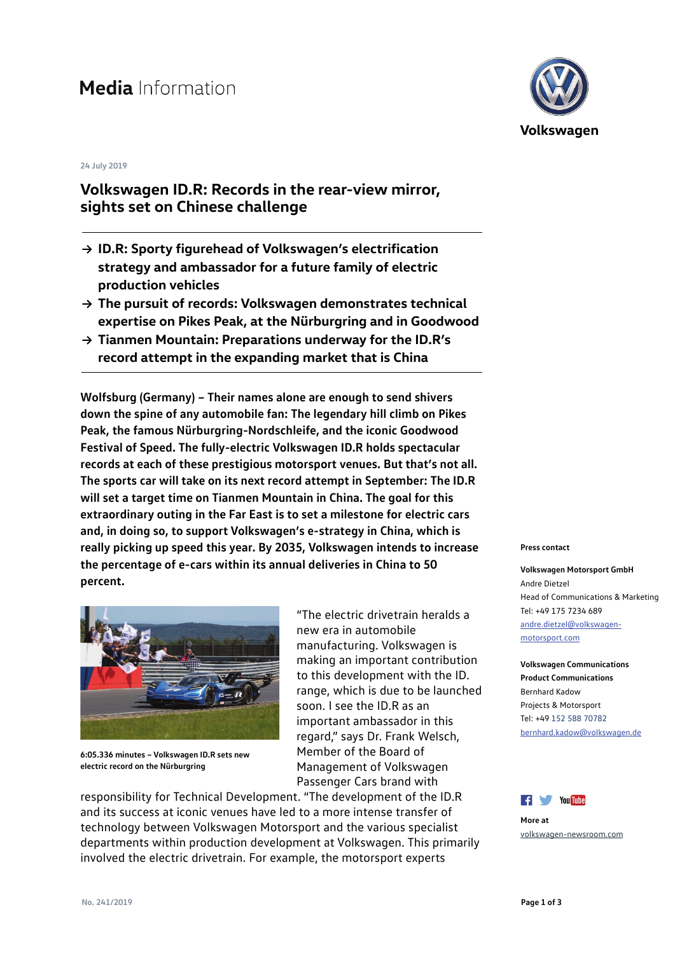# Media Information

#### **24 July 2019**

## **Volkswagen ID.R: Records in the rear-view mirror, sights set on Chinese challenge**

- **→ ID.R: Sporty figurehead of Volkswagen's electrification strategy and ambassador for a future family of electric production vehicles**
- **→ The pursuit of records: Volkswagen demonstrates technical expertise on Pikes Peak, at the Nürburgring and in Goodwood**
- **→ Tianmen Mountain: Preparations underway for the ID.R's record attempt in the expanding market that is China**

**Wolfsburg (Germany) – Their names alone are enough to send shivers down the spine of any automobile fan: The legendary hill climb on Pikes Peak, the famous Nürburgring-Nordschleife, and the iconic Goodwood Festival of Speed. The fully-electric Volkswagen ID.R holds spectacular records at each of these prestigious motorsport venues. But that's not all. The sports car will take on its next record attempt in September: The ID.R will set a target time on Tianmen Mountain in China. The goal for this extraordinary outing in the Far East is to set a milestone for electric cars and, in doing so, to support Volkswagen's e-strategy in China, which is really picking up speed this year. By 2035, Volkswagen intends to increase the percentage of e-cars within its annual deliveries in China to 50 percent.** 



**6:05.336 minutes – Volkswagen ID.R sets new electric record on the Nürburgring**

"The electric drivetrain heralds a new era in automobile manufacturing. Volkswagen is making an important contribution to this development with the ID. range, which is due to be launched soon. I see the ID.R as an important ambassador in this regard," says Dr. Frank Welsch, Member of the Board of Management of Volkswagen Passenger Cars brand with

responsibility for Technical Development. "The development of the ID.R and its success at iconic venues have led to a more intense transfer of technology between Volkswagen Motorsport and the various specialist departments within production development at Volkswagen. This primarily involved the electric drivetrain. For example, the motorsport experts



#### **Press contact**

**Volkswagen Motorsport GmbH** Andre Dietzel Head of Communications & Marketing Tel: +49 175 7234 689 [andre.dietzel@volkswagen](mailto:andre.dietzel@volkswagen-motorsport.com)[motorsport.com](mailto:andre.dietzel@volkswagen-motorsport.com)

**Volkswagen Communications Product Communications** Bernhard Kadow Projects & Motorsport Tel: +49 152 588 70782 [bernhard.kadow@volkswagen.de](mailto:bernhard.kadow@volkswagen.de)



**More at** [volkswagen-newsroom.com](https://www.volkswagen-newsroom.com/)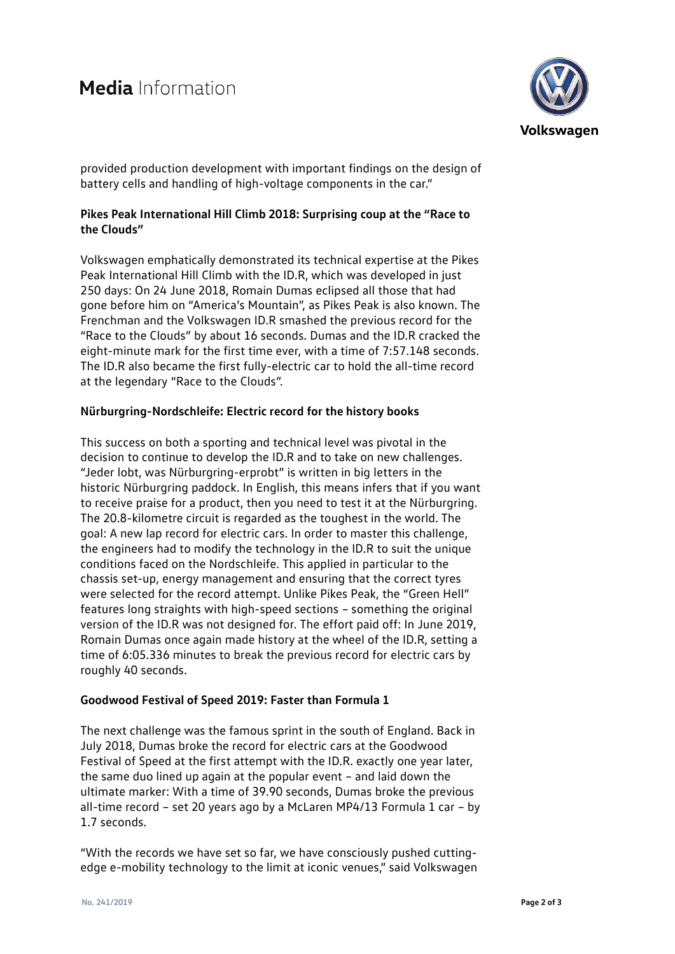

provided production development with important findings on the design of battery cells and handling of high-voltage components in the car."

## **Pikes Peak International Hill Climb 2018: Surprising coup at the "Race to the Clouds"**

Volkswagen emphatically demonstrated its technical expertise at the Pikes Peak International Hill Climb with the ID.R, which was developed in just 250 days: On 24 June 2018, Romain Dumas eclipsed all those that had gone before him on "America's Mountain", as Pikes Peak is also known. The Frenchman and the Volkswagen ID.R smashed the previous record for the "Race to the Clouds" by about 16 seconds. Dumas and the ID.R cracked the eight-minute mark for the first time ever, with a time of 7:57.148 seconds. The ID.R also became the first fully-electric car to hold the all-time record at the legendary "Race to the Clouds".

## **Nürburgring-Nordschleife: Electric record for the history books**

This success on both a sporting and technical level was pivotal in the decision to continue to develop the ID.R and to take on new challenges. "Jeder lobt, was Nürburgring-erprobt" is written in big letters in the historic Nürburgring paddock. In English, this means infers that if you want to receive praise for a product, then you need to test it at the Nürburgring. The 20.8-kilometre circuit is regarded as the toughest in the world. The goal: A new lap record for electric cars. In order to master this challenge, the engineers had to modify the technology in the ID.R to suit the unique conditions faced on the Nordschleife. This applied in particular to the chassis set-up, energy management and ensuring that the correct tyres were selected for the record attempt. Unlike Pikes Peak, the "Green Hell" features long straights with high-speed sections – something the original version of the ID.R was not designed for. The effort paid off: In June 2019, Romain Dumas once again made history at the wheel of the ID.R, setting a time of 6:05.336 minutes to break the previous record for electric cars by roughly 40 seconds.

## **Goodwood Festival of Speed 2019: Faster than Formula 1**

The next challenge was the famous sprint in the south of England. Back in July 2018, Dumas broke the record for electric cars at the Goodwood Festival of Speed at the first attempt with the ID.R. exactly one year later, the same duo lined up again at the popular event – and laid down the ultimate marker: With a time of 39.90 seconds, Dumas broke the previous all-time record – set 20 years ago by a McLaren MP4/13 Formula 1 car – by 1.7 seconds.

"With the records we have set so far, we have consciously pushed cuttingedge e-mobility technology to the limit at iconic venues," said Volkswagen